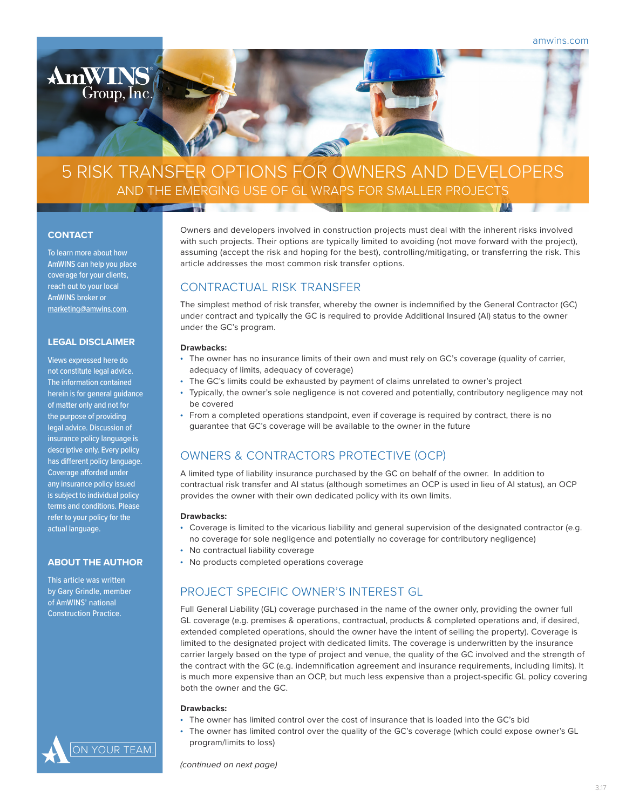

### **CONTACT**

 $AmWI$ 

Group, Inc.

To learn more about how AmWINS can help you place coverage for your clients, reach out to your local AmWINS broker or marketing@amwins.com.

# **LEGAL DISCLAIMER**

Views expressed here do not constitute legal advice. The information contained herein is for general guidance of matter only and not for the purpose of providing legal advice. Discussion of insurance policy language is descriptive only. Every policy has different policy language. Coverage afforded under any insurance policy issued is subject to individual policy terms and conditions. Please refer to your policy for the actual language.

## **ABOUT THE AUTHOR**

This article was written by Gary Grindle, member of AmWINS' national Construction Practice.



Owners and developers involved in construction projects must deal with the inherent risks involved with such projects. Their options are typically limited to avoiding (not move forward with the project), assuming (accept the risk and hoping for the best), controlling/mitigating, or transferring the risk. This article addresses the most common risk transfer options.

# CONTRACTUAL RISK TRANSFER

The simplest method of risk transfer, whereby the owner is indemnified by the General Contractor (GC) under contract and typically the GC is required to provide Additional Insured (AI) status to the owner under the GC's program.

### **Drawbacks:**

**Tal** 

- The owner has no insurance limits of their own and must rely on GC's coverage (quality of carrier, adequacy of limits, adequacy of coverage)
- The GC's limits could be exhausted by payment of claims unrelated to owner's project
- Typically, the owner's sole negligence is not covered and potentially, contributory negligence may not be covered
- From a completed operations standpoint, even if coverage is required by contract, there is no guarantee that GC's coverage will be available to the owner in the future

# OWNERS & CONTRACTORS PROTECTIVE (OCP)

A limited type of liability insurance purchased by the GC on behalf of the owner. In addition to contractual risk transfer and AI status (although sometimes an OCP is used in lieu of AI status), an OCP provides the owner with their own dedicated policy with its own limits.

#### **Drawbacks:**

- Coverage is limited to the vicarious liability and general supervision of the designated contractor (e.g. no coverage for sole negligence and potentially no coverage for contributory negligence)
	- No contractual liability coverage
- No products completed operations coverage

# PROJECT SPECIFIC OWNER'S INTEREST GL

Full General Liability (GL) coverage purchased in the name of the owner only, providing the owner full GL coverage (e.g. premises & operations, contractual, products & completed operations and, if desired, extended completed operations, should the owner have the intent of selling the property). Coverage is limited to the designated project with dedicated limits. The coverage is underwritten by the insurance carrier largely based on the type of project and venue, the quality of the GC involved and the strength of the contract with the GC (e.g. indemnification agreement and insurance requirements, including limits). It is much more expensive than an OCP, but much less expensive than a project-specific GL policy covering both the owner and the GC.

#### **Drawbacks:**

- The owner has limited control over the cost of insurance that is loaded into the GC's bid
- The owner has limited control over the quality of the GC's coverage (which could expose owner's GL program/limits to loss)

*(continued on next page)*